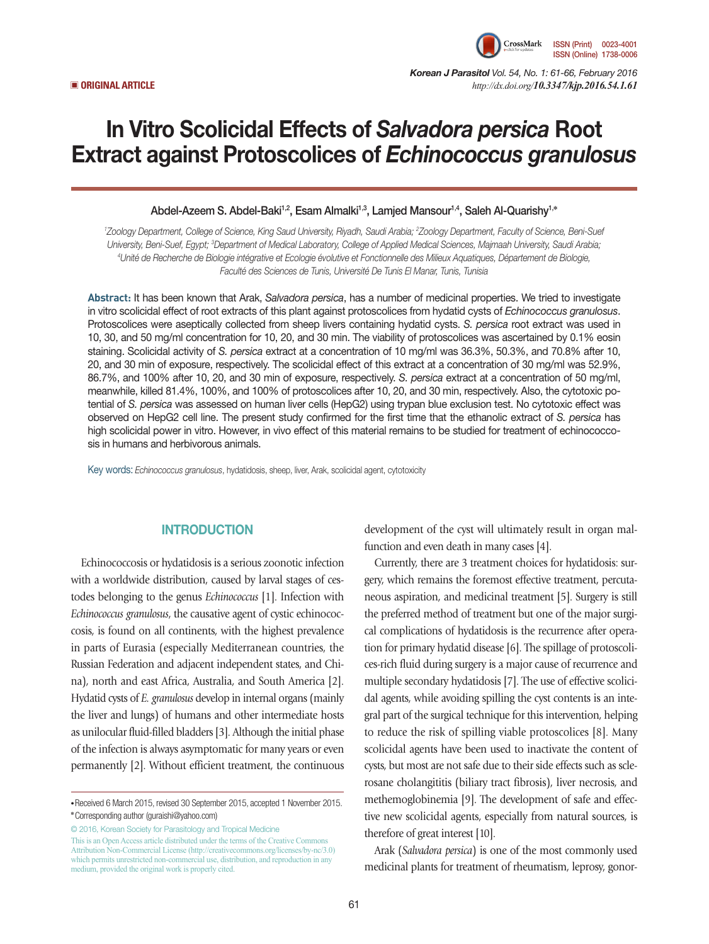

*Korean J Parasitol Vol. 54, No. 1: 61-66, February 2016*  ▣ **ORIGINAL ARTICLE** *http://dx.doi.org/10.3347/kjp.2016.54.1.61*

# In Vitro Scolicidal Effects of *Salvadora persica* Root Extract against Protoscolices of *Echinococcus granulosus*

Abdel-Azeem S. Abdel-Baki<sup>1,2</sup>, Esam Almalki<sup>1,3</sup>, Lamjed Mansour<sup>1,4</sup>, Saleh Al-Quarishy<sup>1,\*</sup>

*1 Zoology Department, College of Science, King Saud University, Riyadh, Saudi Arabia; 2 Zoology Department, Faculty of Science, Beni-Suef University, Beni-Suef, Egypt; 3 Department of Medical Laboratory, College of Applied Medical Sciences, Majmaah University, Saudi Arabia; 4 Unité de Recherche de Biologie intégrative et Ecologie évolutive et Fonctionnelle des Milieux Aquatiques, Département de Biologie, Faculté des Sciences de Tunis, Université De Tunis El Manar, Tunis, Tunisia*

**Abstract:** It has been known that Arak, *Salvadora persica*, has a number of medicinal properties. We tried to investigate in vitro scolicidal effect of root extracts of this plant against protoscolices from hydatid cysts of *Echinococcus granulosus*. Protoscolices were aseptically collected from sheep livers containing hydatid cysts. *S. persica* root extract was used in 10, 30, and 50 mg/ml concentration for 10, 20, and 30 min. The viability of protoscolices was ascertained by 0.1% eosin staining. Scolicidal activity of *S. persica* extract at a concentration of 10 mg/ml was 36.3%, 50.3%, and 70.8% after 10, 20, and 30 min of exposure, respectively. The scolicidal effect of this extract at a concentration of 30 mg/ml was 52.9%, 86.7%, and 100% after 10, 20, and 30 min of exposure, respectively. *S. persica* extract at a concentration of 50 mg/ml, meanwhile, killed 81.4%, 100%, and 100% of protoscolices after 10, 20, and 30 min, respectively. Also, the cytotoxic potential of *S. persica* was assessed on human liver cells (HepG2) using trypan blue exclusion test. No cytotoxic effect was observed on HepG2 cell line. The present study confirmed for the first time that the ethanolic extract of *S. persica* has high scolicidal power in vitro. However, in vivo effect of this material remains to be studied for treatment of echinococcosis in humans and herbivorous animals.

Key words: *Echinococcus granulosus*, hydatidosis, sheep, liver, Arak, scolicidal agent, cytotoxicity

# **INTRODUCTION**

Echinococcosis or hydatidosis is a serious zoonotic infection with a worldwide distribution, caused by larval stages of cestodes belonging to the genus *Echinococcus* [1]. Infection with *Echinococcus granulosus*, the causative agent of cystic echinococcosis, is found on all continents, with the highest prevalence in parts of Eurasia (especially Mediterranean countries, the Russian Federation and adjacent independent states, and China), north and east Africa, Australia, and South America [2]. Hydatid cysts of *E. granulosus* develop in internal organs (mainly the liver and lungs) of humans and other intermediate hosts as unilocular fluid-filled bladders [3]. Although the initial phase of the infection is always asymptomatic for many years or even permanently [2]. Without efficient treatment, the continuous

© 2016, Korean Society for Parasitology and Tropical Medicine This is an Open Access article distributed under the terms of the Creative Commons Attribution Non-Commercial License (http://creativecommons.org/licenses/by-nc/3.0) which permits unrestricted non-commercial use, distribution, and reproduction in any medium, provided the original work is properly cited.

development of the cyst will ultimately result in organ malfunction and even death in many cases [4].

Currently, there are 3 treatment choices for hydatidosis: surgery, which remains the foremost effective treatment, percutaneous aspiration, and medicinal treatment [5]. Surgery is still the preferred method of treatment but one of the major surgical complications of hydatidosis is the recurrence after operation for primary hydatid disease [6]. The spillage of protoscolices-rich fluid during surgery is a major cause of recurrence and multiple secondary hydatidosis [7]. The use of effective scolicidal agents, while avoiding spilling the cyst contents is an integral part of the surgical technique for this intervention, helping to reduce the risk of spilling viable protoscolices [8]. Many scolicidal agents have been used to inactivate the content of cysts, but most are not safe due to their side effects such as sclerosane cholangititis (biliary tract fibrosis), liver necrosis, and methemoglobinemia [9]. The development of safe and effective new scolicidal agents, especially from natural sources, is therefore of great interest [10].

Arak (*Salvadora persica*) is one of the most commonly used medicinal plants for treatment of rheumatism, leprosy, gonor-

**<sup>•</sup>**Received 6 March 2015, revised 30 September 2015, accepted 1 November 2015. **\***Corresponding author (guraishi@yahoo.com)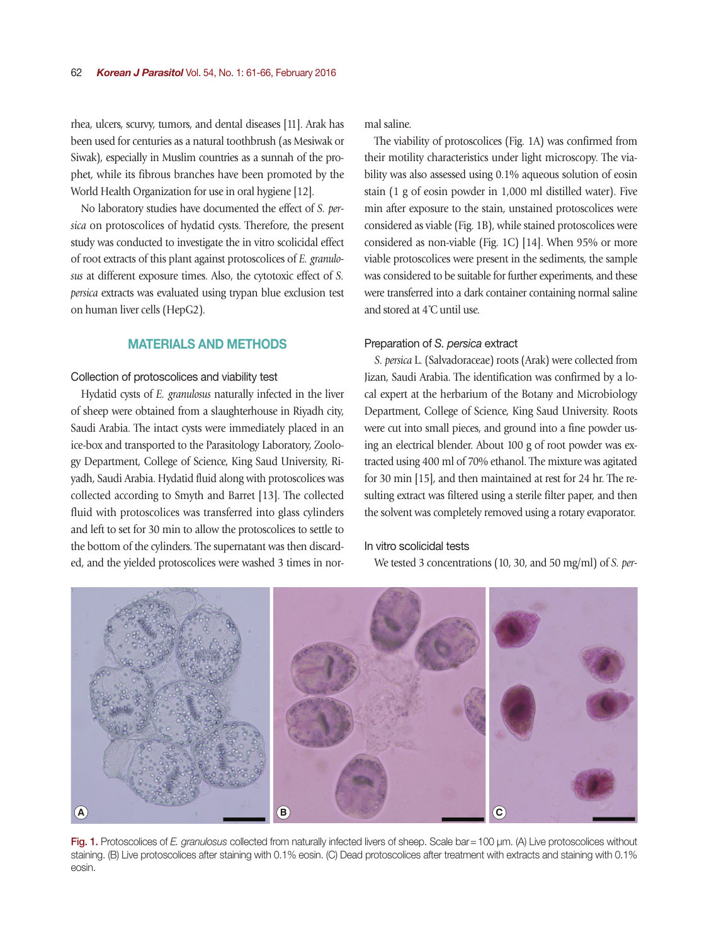rhea, ulcers, scurvy, tumors, and dental diseases [11]. Arak has been used for centuries as a natural toothbrush (as Mesiwak or Siwak), especially in Muslim countries as a sunnah of the prophet, while its fibrous branches have been promoted by the World Health Organization for use in oral hygiene [12].

No laboratory studies have documented the effect of *S. persica* on protoscolices of hydatid cysts. Therefore, the present study was conducted to investigate the in vitro scolicidal effect of root extracts of this plant against protoscolices of *E. granulosus* at different exposure times. Also, the cytotoxic effect of *S. persica* extracts was evaluated using trypan blue exclusion test on human liver cells (HepG2).

# MATERIALS AND METHODS

#### Collection of protoscolices and viability test

Hydatid cysts of *E. granulosus* naturally infected in the liver of sheep were obtained from a slaughterhouse in Riyadh city, Saudi Arabia. The intact cysts were immediately placed in an ice-box and transported to the Parasitology Laboratory, Zoology Department, College of Science, King Saud University, Riyadh, Saudi Arabia. Hydatid fluid along with protoscolices was collected according to Smyth and Barret [13]. The collected fluid with protoscolices was transferred into glass cylinders and left to set for 30 min to allow the protoscolices to settle to the bottom of the cylinders. The supernatant was then discarded, and the yielded protoscolices were washed 3 times in normal saline.

The viability of protoscolices (Fig. 1A) was confirmed from their motility characteristics under light microscopy. The viability was also assessed using 0.1% aqueous solution of eosin stain (1 g of eosin powder in 1,000 ml distilled water). Five min after exposure to the stain, unstained protoscolices were considered as viable (Fig. 1B), while stained protoscolices were considered as non-viable (Fig. 1C) [14]. When 95% or more viable protoscolices were present in the sediments, the sample was considered to be suitable for further experiments, and these were transferred into a dark container containing normal saline and stored at 4˚C until use.

#### Preparation of *S. persica* extract

*S. persica* L. (Salvadoraceae) roots (Arak) were collected from Jizan, Saudi Arabia. The identification was confirmed by a local expert at the herbarium of the Botany and Microbiology Department, College of Science, King Saud University. Roots were cut into small pieces, and ground into a fine powder using an electrical blender. About 100 g of root powder was extracted using 400 ml of 70% ethanol. The mixture was agitated for 30 min [15], and then maintained at rest for 24 hr. The resulting extract was filtered using a sterile filter paper, and then the solvent was completely removed using a rotary evaporator.

# In vitro scolicidal tests

We tested 3 concentrations (10, 30, and 50 mg/ml) of *S. per-*



Fig. 1. Protoscolices of *E. granulosus* collected from naturally infected livers of sheep. Scale bar=100 µm. (A) Live protoscolices without staining. (B) Live protoscolices after staining with 0.1% eosin. (C) Dead protoscolices after treatment with extracts and staining with 0.1% eosin.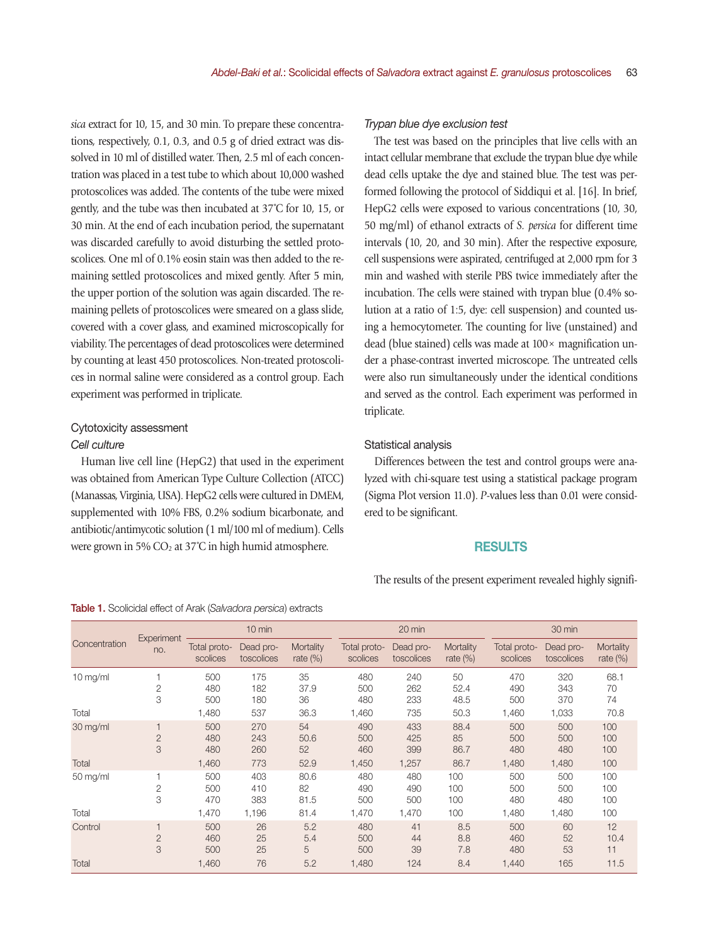*sica* extract for 10, 15, and 30 min. To prepare these concentrations, respectively, 0.1, 0.3, and 0.5 g of dried extract was dissolved in 10 ml of distilled water. Then, 2.5 ml of each concentration was placed in a test tube to which about 10,000 washed protoscolices was added. The contents of the tube were mixed gently, and the tube was then incubated at 37˚C for 10, 15, or 30 min. At the end of each incubation period, the supernatant was discarded carefully to avoid disturbing the settled protoscolices. One ml of 0.1% eosin stain was then added to the remaining settled protoscolices and mixed gently. After 5 min, the upper portion of the solution was again discarded. The remaining pellets of protoscolices were smeared on a glass slide, covered with a cover glass, and examined microscopically for viability. The percentages of dead protoscolices were determined by counting at least 450 protoscolices. Non-treated protoscolices in normal saline were considered as a control group. Each experiment was performed in triplicate.

# Cytotoxicity assessment *Cell culture*

Human live cell line (HepG2) that used in the experiment was obtained from American Type Culture Collection (ATCC) (Manassas, Virginia, USA). HepG2 cells were cultured in DMEM, supplemented with 10% FBS, 0.2% sodium bicarbonate, and antibiotic/antimycotic solution (1 ml/100 ml of medium). Cells were grown in 5%  $CO<sub>2</sub>$  at 37°C in high humid atmosphere.

# *Trypan blue dye exclusion test*

The test was based on the principles that live cells with an intact cellular membrane that exclude the trypan blue dye while dead cells uptake the dye and stained blue. The test was performed following the protocol of Siddiqui et al. [16]. In brief, HepG2 cells were exposed to various concentrations (10, 30, 50 mg/ml) of ethanol extracts of *S. persica* for different time intervals (10, 20, and 30 min). After the respective exposure, cell suspensions were aspirated, centrifuged at 2,000 rpm for 3 min and washed with sterile PBS twice immediately after the incubation. The cells were stained with trypan blue (0.4% solution at a ratio of 1:5, dye: cell suspension) and counted using a hemocytometer. The counting for live (unstained) and dead (blue stained) cells was made at 100× magnification under a phase-contrast inverted microscope. The untreated cells were also run simultaneously under the identical conditions and served as the control. Each experiment was performed in triplicate.

#### Statistical analysis

Differences between the test and control groups were analyzed with chi-square test using a statistical package program (Sigma Plot version 11.0). *P*-values less than 0.01 were considered to be significant.

#### RESULTS

The results of the present experiment revealed highly signifi-

| Concentration      | Experiment<br>no.   | $10 \text{ min}$           |                          |                          | 20 min                     |                            |                            | 30 min                     |                            |                          |
|--------------------|---------------------|----------------------------|--------------------------|--------------------------|----------------------------|----------------------------|----------------------------|----------------------------|----------------------------|--------------------------|
|                    |                     | Total proto-<br>scolices   | Dead pro-<br>toscolices  | Mortality<br>rate $(\%)$ | Total proto-<br>scolices   | Dead pro-<br>toscolices    | Mortality<br>rate $(\%)$   | Total proto-<br>scolices   | Dead pro-<br>toscolices    | Mortality<br>rate $(\%)$ |
| $10$ mg/ml         | $\overline{2}$<br>3 | 500<br>480<br>500          | 175<br>182<br>180        | 35<br>37.9<br>36         | 480<br>500<br>480          | 240<br>262<br>233          | 50<br>52.4<br>48.5         | 470<br>490<br>500          | 320<br>343<br>370          | 68.1<br>70<br>74         |
| Total              |                     | 1,480                      | 537                      | 36.3                     | 1,460                      | 735                        | 50.3                       | 1,460                      | 1,033                      | 70.8                     |
| 30 mg/ml<br>Total  | $\overline{2}$<br>3 | 500<br>480<br>480<br>1,460 | 270<br>243<br>260<br>773 | 54<br>50.6<br>52<br>52.9 | 490<br>500<br>460<br>1,450 | 433<br>425<br>399<br>1,257 | 88.4<br>85<br>86.7<br>86.7 | 500<br>500<br>480<br>1,480 | 500<br>500<br>480<br>1,480 | 100<br>100<br>100<br>100 |
| $50 \text{ mg/ml}$ | 2<br>3              | 500<br>500<br>470          | 403<br>410<br>383        | 80.6<br>82<br>81.5       | 480<br>490<br>500          | 480<br>490<br>500          | 100<br>100<br>100          | 500<br>500<br>480          | 500<br>500<br>480          | 100<br>100<br>100        |
| Total              |                     | 1,470                      | 1,196                    | 81.4                     | 1,470                      | 1,470                      | 100                        | 1,480                      | 1,480                      | 100                      |
| Control            | $\overline{2}$<br>3 | 500<br>460<br>500          | 26<br>25<br>25           | 5.2<br>5.4<br>5          | 480<br>500<br>500          | 41<br>44<br>39             | 8.5<br>8.8<br>7.8          | 500<br>460<br>480          | 60<br>52<br>53             | 12<br>10.4<br>11         |
| Total              |                     | 1,460                      | 76                       | 5.2                      | 1,480                      | 124                        | 8.4                        | 1,440                      | 165                        | 11.5                     |

#### Table 1. Scolicidal effect of Arak (*Salvadora persica*) extracts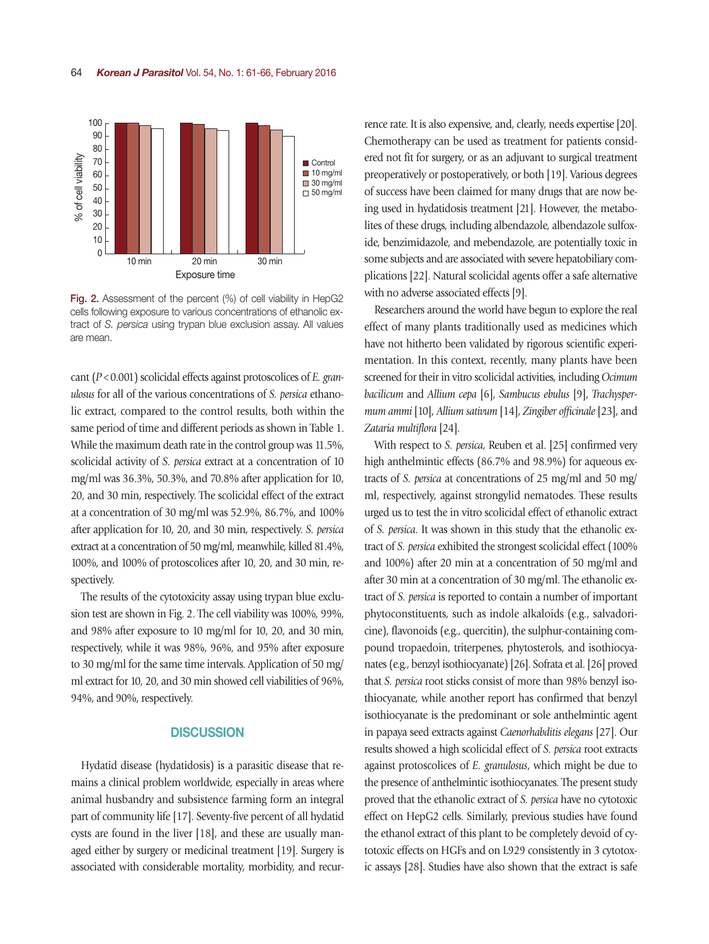

Fig. 2. Assessment of the percent (%) of cell viability in HepG2 cells following exposure to various concentrations of ethanolic extract of *S. persica* using trypan blue exclusion assay. All values are mean.

cant (*P*<0.001) scolicidal effects against protoscolices of *E. granulosus* for all of the various concentrations of *S. persica* ethanolic extract, compared to the control results, both within the same period of time and different periods as shown in Table 1. While the maximum death rate in the control group was 11.5%, scolicidal activity of *S. persica* extract at a concentration of 10 mg/ml was 36.3%, 50.3%, and 70.8% after application for 10, 20, and 30 min, respectively. The scolicidal effect of the extract at a concentration of 30 mg/ml was 52.9%, 86.7%, and 100% after application for 10, 20, and 30 min, respectively. *S. persica* extract at a concentration of 50 mg/ml, meanwhile, killed 81.4%, 100%, and 100% of protoscolices after 10, 20, and 30 min, respectively.

The results of the cytotoxicity assay using trypan blue exclusion test are shown in Fig. 2. The cell viability was 100%, 99%, and 98% after exposure to 10 mg/ml for 10, 20, and 30 min, respectively, while it was 98%, 96%, and 95% after exposure to 30 mg/ml for the same time intervals. Application of 50 mg/ ml extract for 10, 20, and 30 min showed cell viabilities of 96%, 94%, and 90%, respectively.

#### **DISCUSSION**

Hydatid disease (hydatidosis) is a parasitic disease that remains a clinical problem worldwide, especially in areas where animal husbandry and subsistence farming form an integral part of community life [17]. Seventy-five percent of all hydatid cysts are found in the liver [18], and these are usually managed either by surgery or medicinal treatment [19]. Surgery is associated with considerable mortality, morbidity, and recurrence rate. It is also expensive, and, clearly, needs expertise [20]. Chemotherapy can be used as treatment for patients considered not fit for surgery, or as an adjuvant to surgical treatment preoperatively or postoperatively, or both [19]. Various degrees of success have been claimed for many drugs that are now being used in hydatidosis treatment [21]. However, the metabolites of these drugs, including albendazole, albendazole sulfoxide, benzimidazole, and mebendazole, are potentially toxic in some subjects and are associated with severe hepatobiliary complications [22]. Natural scolicidal agents offer a safe alternative with no adverse associated effects [9].

Researchers around the world have begun to explore the real effect of many plants traditionally used as medicines which have not hitherto been validated by rigorous scientific experimentation. In this context, recently, many plants have been screened for their in vitro scolicidal activities, including *Ocimum bacilicum* and *Allium cepa* [6], *Sambucus ebulus* [9], *Trachyspermum ammi* [10], *Allium sativum* [14], *Zingiber officinale* [23], and *Zataria multiflora* [24].

With respect to *S. persica*, Reuben et al. [25] confirmed very high anthelmintic effects (86.7% and 98.9%) for aqueous extracts of *S. persica* at concentrations of 25 mg/ml and 50 mg/ ml, respectively, against strongylid nematodes. These results urged us to test the in vitro scolicidal effect of ethanolic extract of *S. persica*. It was shown in this study that the ethanolic extract of *S. persica* exhibited the strongest scolicidal effect (100% and 100%) after 20 min at a concentration of 50 mg/ml and after 30 min at a concentration of 30 mg/ml. The ethanolic extract of *S. persica* is reported to contain a number of important phytoconstituents, such as indole alkaloids (e.g., salvadoricine), flavonoids (e.g., quercitin), the sulphur-containing compound tropaedoin, triterpenes, phytosterols, and isothiocyanates (e.g., benzyl isothiocyanate) [26]. Sofrata et al. [26] proved that *S. persica* root sticks consist of more than 98% benzyl isothiocyanate, while another report has confirmed that benzyl isothiocyanate is the predominant or sole anthelmintic agent in papaya seed extracts against *Caenorhabditis elegans* [27]. Our results showed a high scolicidal effect of *S. persica* root extracts against protoscolices of *E. granulosus*, which might be due to the presence of anthelmintic isothiocyanates. The present study proved that the ethanolic extract of *S. persica* have no cytotoxic effect on HepG2 cells. Similarly, previous studies have found the ethanol extract of this plant to be completely devoid of cytotoxic effects on HGFs and on L929 consistently in 3 cytotoxic assays [28]. Studies have also shown that the extract is safe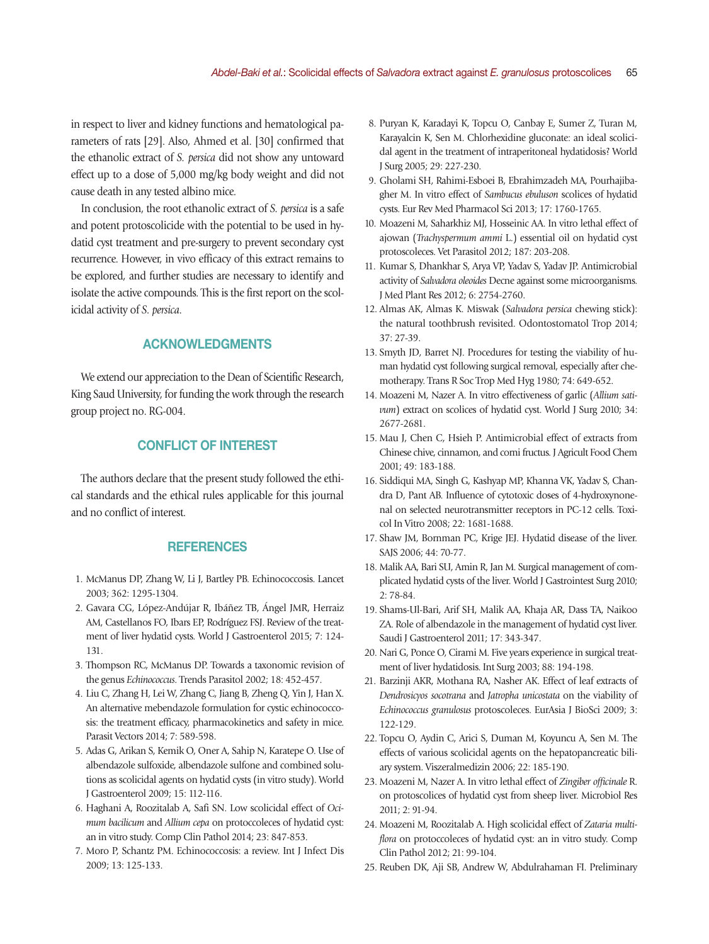in respect to liver and kidney functions and hematological parameters of rats [29]. Also, Ahmed et al. [30] confirmed that the ethanolic extract of *S. persica* did not show any untoward effect up to a dose of 5,000 mg/kg body weight and did not cause death in any tested albino mice.

In conclusion, the root ethanolic extract of *S. persica* is a safe and potent protoscolicide with the potential to be used in hydatid cyst treatment and pre-surgery to prevent secondary cyst recurrence. However, in vivo efficacy of this extract remains to be explored, and further studies are necessary to identify and isolate the active compounds. This is the first report on the scolicidal activity of *S. persica*.

# ACKNOWLEDGMENTS

We extend our appreciation to the Dean of Scientific Research, King Saud University, for funding the work through the research group project no. RG-004.

### CONFLICT OF INTEREST

The authors declare that the present study followed the ethical standards and the ethical rules applicable for this journal and no conflict of interest.

#### **REFERENCES**

- 1. McManus DP, Zhang W, Li J, Bartley PB. Echinococcosis. Lancet 2003; 362: 1295-1304.
- 2. Gavara CG, López-Andújar R, Ibáñez TB, Ángel JMR, Herraiz AM, Castellanos FO, Ibars EP, Rodríguez FSJ. Review of the treatment of liver hydatid cysts. World J Gastroenterol 2015; 7: 124- 131.
- 3. Thompson RC, McManus DP. Towards a taxonomic revision of the genus *Echinococcus*. Trends Parasitol 2002; 18: 452-457.
- 4. Liu C, Zhang H, Lei W, Zhang C, Jiang B, Zheng Q, Yin J, Han X. An alternative mebendazole formulation for cystic echinococcosis: the treatment efficacy, pharmacokinetics and safety in mice. Parasit Vectors 2014; 7: 589-598.
- 5. Adas G, Arikan S, Kemik O, Oner A, Sahip N, Karatepe O. Use of albendazole sulfoxide, albendazole sulfone and combined solutions as scolicidal agents on hydatid cysts (in vitro study). World J Gastroenterol 2009; 15: 112-116.
- 6. Haghani A, Roozitalab A, Safi SN. Low scolicidal effect of *Ocimum bacilicum* and *Allium cepa* on protoccoleces of hydatid cyst: an in vitro study. Comp Clin Pathol 2014; 23: 847-853.
- 7. Moro P, Schantz PM. Echinococcosis: a review. Int J Infect Dis 2009; 13: 125-133.
- 8. Puryan K, Karadayi K, Topcu O, Canbay E, Sumer Z, Turan M, Karayalcin K, Sen M. Chlorhexidine gluconate: an ideal scolicidal agent in the treatment of intraperitoneal hydatidosis? World J Surg 2005; 29: 227-230.
- 9. Gholami SH, Rahimi-Esboei B, Ebrahimzadeh MA, Pourhajibagher M. In vitro effect of *Sambucus ebuluson* scolices of hydatid cysts. Eur Rev Med Pharmacol Sci 2013; 17: 1760-1765.
- 10. Moazeni M, Saharkhiz MJ, Hosseinic AA. In vitro lethal effect of ajowan (*Trachyspermum ammi* L.) essential oil on hydatid cyst protoscoleces. Vet Parasitol 2012; 187: 203-208.
- 11. Kumar S, Dhankhar S, Arya VP, Yadav S, Yadav JP. Antimicrobial activity of *Salvadora oleoides* Decne against some microorganisms. J Med Plant Res 2012; 6: 2754-2760.
- 12. Almas AK, Almas K. Miswak (*Salvadora persica* chewing stick): the natural toothbrush revisited. Odontostomatol Trop 2014; 37: 27-39.
- 13. Smyth JD, Barret NJ. Procedures for testing the viability of human hydatid cyst following surgical removal, especially after chemotherapy. Trans R Soc Trop Med Hyg 1980; 74: 649-652.
- 14. Moazeni M, Nazer A. In vitro effectiveness of garlic (*Allium sativum*) extract on scolices of hydatid cyst. World J Surg 2010; 34: 2677-2681.
- 15. Mau J, Chen C, Hsieh P. Antimicrobial effect of extracts from Chinese chive, cinnamon, and corni fructus. J Agricult Food Chem 2001; 49: 183-188.
- 16. Siddiqui MA, Singh G, Kashyap MP, Khanna VK, Yadav S, Chandra D, Pant AB. Influence of cytotoxic doses of 4-hydroxynonenal on selected neurotransmitter receptors in PC-12 cells. Toxicol In Vitro 2008; 22: 1681-1688.
- 17. Shaw JM, Bornman PC, Krige JEJ. Hydatid disease of the liver. SAJS 2006; 44: 70-77.
- 18. Malik AA, Bari SU, Amin R, Jan M. Surgical management of complicated hydatid cysts of the liver. World J Gastrointest Surg 2010; 2: 78-84.
- 19. Shams-Ul-Bari, Arif SH, Malik AA, Khaja AR, Dass TA, Naikoo ZA. Role of albendazole in the management of hydatid cyst liver. Saudi J Gastroenterol 2011; 17: 343-347.
- 20. Nari G, Ponce O, Cirami M. Five years experience in surgical treatment of liver hydatidosis. Int Surg 2003; 88: 194-198.
- 21. Barzinji AKR, Mothana RA, Nasher AK. Effect of leaf extracts of *Dendrosicyos socotrana* and *Jatropha unicostata* on the viability of *Echinococcus granulosus* protoscoleces. EurAsia J BioSci 2009; 3: 122-129.
- 22. Topcu O, Aydin C, Arici S, Duman M, Koyuncu A, Sen M. The effects of various scolicidal agents on the hepatopancreatic biliary system. Viszeralmedizin 2006; 22: 185-190.
- 23. Moazeni M, Nazer A. In vitro lethal effect of *Zingiber officinale* R. on protoscolices of hydatid cyst from sheep liver. Microbiol Res 2011; 2: 91-94.
- 24. Moazeni M, Roozitalab A. High scolicidal effect of *Zataria multiflora* on protoccoleces of hydatid cyst: an in vitro study. Comp Clin Pathol 2012; 21: 99-104.
- 25. Reuben DK, Aji SB, Andrew W, Abdulrahaman FI. Preliminary